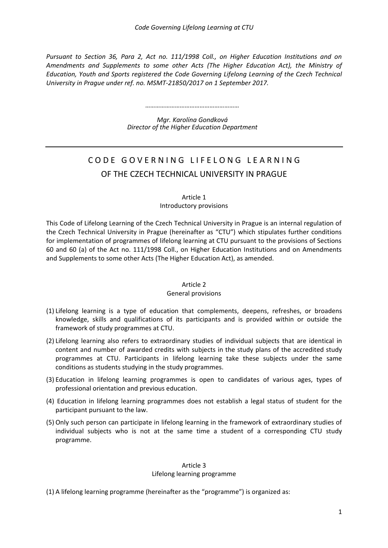*Pursuant to Section 36, Para 2, Act no. 111/1998 Coll., on Higher Education Institutions and on Amendments and Supplements to some other Acts (The Higher Education Act), the Ministry of Education, Youth and Sports registered the Code Governing Lifelong Learning of the Czech Technical University in Prague under ref. no. MSMT-21850/2017 on 1 September 2017.*

*…………………………………………………*

*Mgr. Karolína Gondková Director of the Higher Education Department*

# CODE GOVERNING LIFELONG LEARNING OF THE CZECH TECHNICAL UNIVERSITY IN PRAGUE

#### Article 1

Introductory provisions

This Code of Lifelong Learning of the Czech Technical University in Prague is an internal regulation of the Czech Technical University in Prague (hereinafter as "CTU") which stipulates further conditions for implementation of programmes of lifelong learning at CTU pursuant to the provisions of Sections 60 and 60 (a) of the Act no. 111/1998 Coll., on Higher Education Institutions and on Amendments and Supplements to some other Acts (The Higher Education Act), as amended.

## Article 2

## General provisions

- (1) Lifelong learning is a type of education that complements, deepens, refreshes, or broadens knowledge, skills and qualifications of its participants and is provided within or outside the framework of study programmes at CTU.
- (2) Lifelong learning also refers to extraordinary studies of individual subjects that are identical in content and number of awarded credits with subjects in the study plans of the accredited study programmes at CTU. Participants in lifelong learning take these subjects under the same conditions as students studying in the study programmes.
- (3) Education in lifelong learning programmes is open to candidates of various ages, types of professional orientation and previous education.
- (4) Education in lifelong learning programmes does not establish a legal status of student for the participant pursuant to the law.
- (5) Only such person can participate in lifelong learning in the framework of extraordinary studies of individual subjects who is not at the same time a student of a corresponding CTU study programme.

#### Article 3 Lifelong learning programme

(1) A lifelong learning programme (hereinafter as the "programme") is organized as: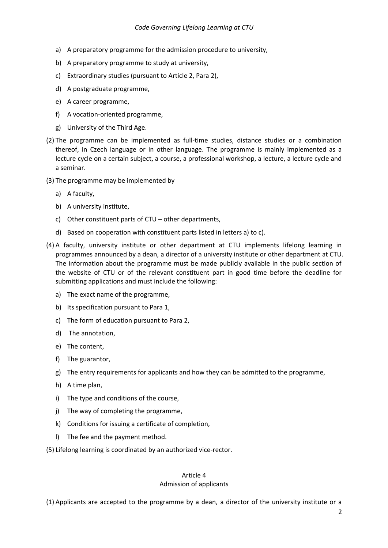- a) A preparatory programme for the admission procedure to university,
- b) A preparatory programme to study at university,
- c) Extraordinary studies (pursuant to Article 2, Para 2),
- d) A postgraduate programme,
- e) A career programme,
- f) A vocation-oriented programme,
- g) University of the Third Age.
- (2) The programme can be implemented as full-time studies, distance studies or a combination thereof, in Czech language or in other language. The programme is mainly implemented as a lecture cycle on a certain subject, a course, a professional workshop, a lecture, a lecture cycle and a seminar.
- (3) The programme may be implemented by
	- a) A faculty,
	- b) A university institute,
	- c) Other constituent parts of CTU other departments,
	- d) Based on cooperation with constituent parts listed in letters a) to c).
- (4) A faculty, university institute or other department at CTU implements lifelong learning in programmes announced by a dean, a director of a university institute or other department at CTU. The information about the programme must be made publicly available in the public section of the website of CTU or of the relevant constituent part in good time before the deadline for submitting applications and must include the following:
	- a) The exact name of the programme,
	- b) Its specification pursuant to Para 1,
	- c) The form of education pursuant to Para 2,
	- d) The annotation,
	- e) The content,
	- f) The guarantor,
	- g) The entry requirements for applicants and how they can be admitted to the programme,
	- h) A time plan,
	- i) The type and conditions of the course,
	- j) The way of completing the programme,
	- k) Conditions for issuing a certificate of completion,
	- l) The fee and the payment method.

(5) Lifelong learning is coordinated by an authorized vice-rector.

## Article 4 Admission of applicants

(1) Applicants are accepted to the programme by a dean, a director of the university institute or a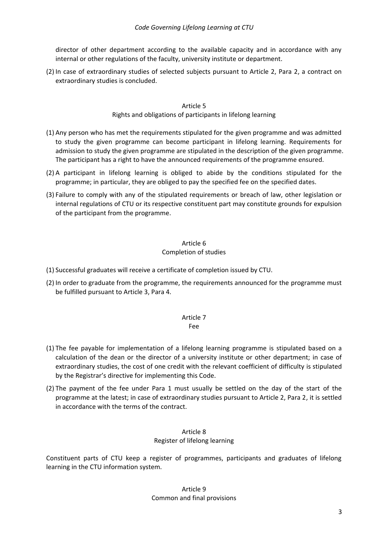director of other department according to the available capacity and in accordance with any internal or other regulations of the faculty, university institute or department.

(2) In case of extraordinary studies of selected subjects pursuant to Article 2, Para 2, a contract on extraordinary studies is concluded.

# Article 5

# Rights and obligations of participants in lifelong learning

- (1) Any person who has met the requirements stipulated for the given programme and was admitted to study the given programme can become participant in lifelong learning. Requirements for admission to study the given programme are stipulated in the description of the given programme. The participant has a right to have the announced requirements of the programme ensured.
- (2) A participant in lifelong learning is obliged to abide by the conditions stipulated for the programme; in particular, they are obliged to pay the specified fee on the specified dates.
- (3) Failure to comply with any of the stipulated requirements or breach of law, other legislation or internal regulations of CTU or its respective constituent part may constitute grounds for expulsion of the participant from the programme.

# Article 6

# Completion of studies

- (1) Successful graduates will receive a certificate of completion issued by CTU.
- (2) In order to graduate from the programme, the requirements announced for the programme must be fulfilled pursuant to Article 3, Para 4.

## Article 7

## Fee

- (1) The fee payable for implementation of a lifelong learning programme is stipulated based on a calculation of the dean or the director of a university institute or other department; in case of extraordinary studies, the cost of one credit with the relevant coefficient of difficulty is stipulated by the Registrar's directive for implementing this Code.
- (2) The payment of the fee under Para 1 must usually be settled on the day of the start of the programme at the latest; in case of extraordinary studies pursuant to Article 2, Para 2, it is settled in accordance with the terms of the contract.

# Article 8 Register of lifelong learning

Constituent parts of CTU keep a register of programmes, participants and graduates of lifelong learning in the CTU information system.

# Article 9 Common and final provisions